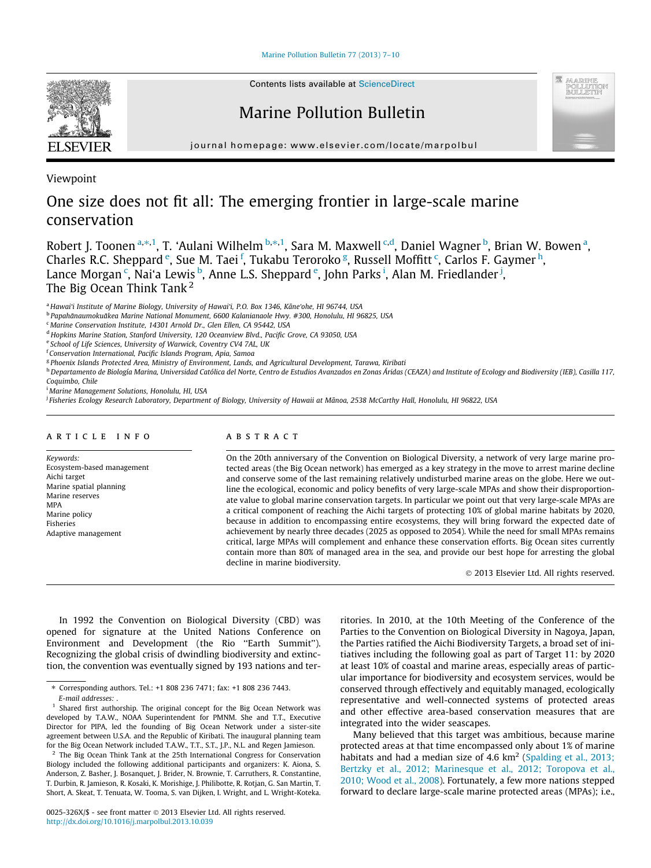[Marine Pollution Bulletin 77 \(2013\) 7–10](http://dx.doi.org/10.1016/j.marpolbul.2013.10.039)



Contents lists available at [ScienceDirect](http://www.sciencedirect.com/science/journal/0025326X)

## Marine Pollution Bulletin



journal homepage: [www.elsevier.com/locate/marpolbul](http://www.elsevier.com/locate/marpolbul)

Viewpoint

# One size does not fit all: The emerging frontier in large-scale marine conservation

Robert J. Toonen <sup>a,\*,1</sup>, T. 'Aulani Wilhelm <sup>b,\*,1</sup>, Sara M. Maxwell <sup>c,d</sup>, Daniel Wagner <sup>b</sup>, Brian W. Bowen <sup>a</sup>, Charles R.C. Sheppard <sup>e</sup>, Sue M. Taei <sup>f</sup>, Tukabu Teroroko <sup>g</sup>, Russell Moffitt <sup>c</sup>, Carlos F. Gaymer <sup>h</sup>, Lance Morgan <sup>c</sup>, Nai'a Lewis <sup>b</sup>, Anne L.S. Sheppard <sup>e</sup>, John Parks <sup>i</sup>, Alan M. Friedlander <sup>j</sup>, The Big Ocean Think Tank<sup>2</sup>

<sup>a</sup> Hawai'i Institute of Marine Biology, University of Hawai'i, P.O. Box 1346, Kāne'ohe, HI 96744, USA

<sup>b</sup> Papahānaumokuākea Marine National Monument, 6600 Kalanianaole Hwy. #300, Honolulu, HI 96825, USA

<sup>c</sup> Marine Conservation Institute, 14301 Arnold Dr., Glen Ellen, CA 95442, USA <sup>d</sup> Hopkins Marine Station, Stanford University, 120 Oceanview Blvd., Pacific Grove, CA 93050, USA

e School of Life Sciences, University of Warwick, Coventry CV4 7AL, UK

<sup>f</sup> Conservation International, Pacific Islands Program, Apia, Samoa

<sup>g</sup> Phoenix Islands Protected Area, Ministry of Environment, Lands, and Agricultural Development, Tarawa, Kiribati

h Departamento de Biología Marina, Universidad Católica del Norte, Centro de Estudios Avanzados en Zonas Áridas (CEAZA) and Institute of Ecology and Biodiversity (IEB), Casilla 117,

Coquimbo, Chile

i Marine Management Solutions, Honolulu, HI, USA

<sup>i</sup> Fisheries Ecology Research Laboratory, Department of Biology, University of Hawaii at Mānoa, 2538 McCarthy Hall, Honolulu, HI 96822, USA

### article info

Keywords: Ecosystem-based management Aichi target Marine spatial planning Marine reserves MPA Marine policy Fisheries Adaptive management

## ABSTRACT

On the 20th anniversary of the Convention on Biological Diversity, a network of very large marine protected areas (the Big Ocean network) has emerged as a key strategy in the move to arrest marine decline and conserve some of the last remaining relatively undisturbed marine areas on the globe. Here we outline the ecological, economic and policy benefits of very large-scale MPAs and show their disproportionate value to global marine conservation targets. In particular we point out that very large-scale MPAs are a critical component of reaching the Aichi targets of protecting 10% of global marine habitats by 2020, because in addition to encompassing entire ecosystems, they will bring forward the expected date of achievement by nearly three decades (2025 as opposed to 2054). While the need for small MPAs remains critical, large MPAs will complement and enhance these conservation efforts. Big Ocean sites currently contain more than 80% of managed area in the sea, and provide our best hope for arresting the global decline in marine biodiversity.

- 2013 Elsevier Ltd. All rights reserved.

In 1992 the Convention on Biological Diversity (CBD) was opened for signature at the United Nations Conference on Environment and Development (the Rio ''Earth Summit''). Recognizing the global crisis of dwindling biodiversity and extinction, the convention was eventually signed by 193 nations and ter-

⇑ Corresponding authors. Tel.: +1 808 236 7471; fax: +1 808 236 7443.

E-mail addresses: .

Shared first authorship. The original concept for the Big Ocean Network was developed by T.A.W., NOAA Superintendent for PMNM. She and T.T., Executive Director for PIPA, led the founding of Big Ocean Network under a sister-site agreement between U.S.A. and the Republic of Kiribati. The inaugural planning team for the Big Ocean Network included T.A.W., T.T., S.T., J.P., N.L. and Regen Jamieson.

<sup>2</sup> The Big Ocean Think Tank at the 25th International Congress for Conservation Biology included the following additional participants and organizers: K. Aiona, S. Anderson, Z. Basher, J. Bosanquet, J. Brider, N. Brownie, T. Carruthers, R. Constantine, T. Durbin, R. Jamieson, R. Kosaki, K. Morishige, J. Philibotte, R. Rotjan, G. San Martin, T. Short, A. Skeat, T. Tenuata, W. Tooma, S. van Dijken, I. Wright, and L. Wright-Koteka. ritories. In 2010, at the 10th Meeting of the Conference of the Parties to the Convention on Biological Diversity in Nagoya, Japan, the Parties ratified the Aichi Biodiversity Targets, a broad set of initiatives including the following goal as part of Target 11: by 2020 at least 10% of coastal and marine areas, especially areas of particular importance for biodiversity and ecosystem services, would be conserved through effectively and equitably managed, ecologically representative and well-connected systems of protected areas and other effective area-based conservation measures that are integrated into the wider seascapes.

Many believed that this target was ambitious, because marine protected areas at that time encompassed only about 1% of marine habitats and had a median size of 4.6  $km^2$  [\(Spalding et al., 2013;](#page-3-0) [Bertzky et al., 2012; Marinesque et al., 2012; Toropova et al.,](#page-3-0) [2010; Wood et al., 2008](#page-3-0)). Fortunately, a few more nations stepped forward to declare large-scale marine protected areas (MPAs); i.e.,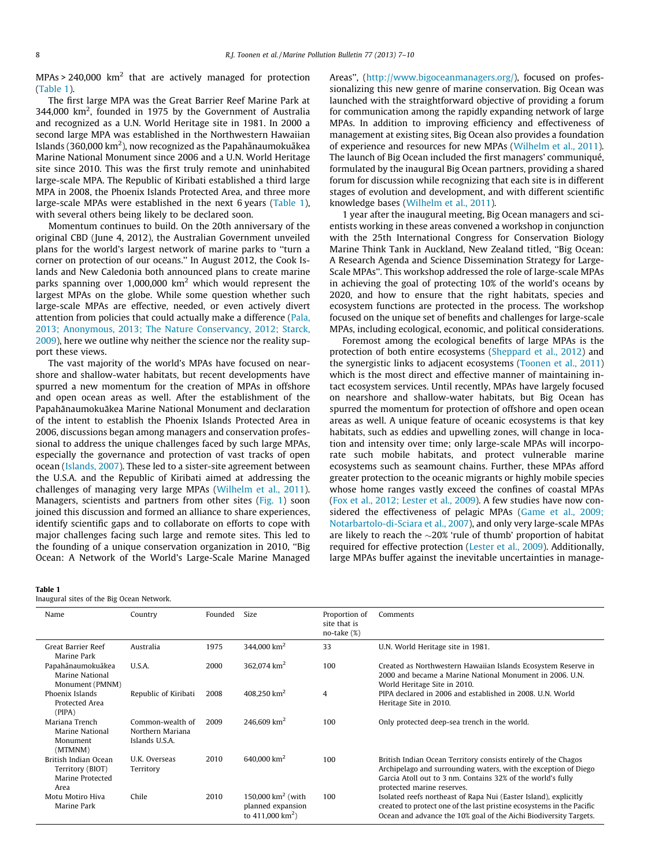<span id="page-1-0"></span> $MPAs > 240,000$  km<sup>2</sup> that are actively managed for protection (Table 1).

The first large MPA was the Great Barrier Reef Marine Park at 344,000  $\rm km^2$ , founded in 1975 by the Government of Australia and recognized as a U.N. World Heritage site in 1981. In 2000 a second large MPA was established in the Northwestern Hawaiian Islands (360,000 km $^2$ ), now recognized as the Papahānaumokuākea Marine National Monument since 2006 and a U.N. World Heritage site since 2010. This was the first truly remote and uninhabited large-scale MPA. The Republic of Kiribati established a third large MPA in 2008, the Phoenix Islands Protected Area, and three more large-scale MPAs were established in the next 6 years (Table 1), with several others being likely to be declared soon.

Momentum continues to build. On the 20th anniversary of the original CBD (June 4, 2012), the Australian Government unveiled plans for the world's largest network of marine parks to ''turn a corner on protection of our oceans.'' In August 2012, the Cook Islands and New Caledonia both announced plans to create marine parks spanning over 1,000,000 km<sup>2</sup> which would represent the largest MPAs on the globe. While some question whether such large-scale MPAs are effective, needed, or even actively divert attention from policies that could actually make a difference [\(Pala,](#page-3-0) [2013; Anonymous, 2013; The Nature Conservancy, 2012; Starck,](#page-3-0) [2009\)](#page-3-0), here we outline why neither the science nor the reality support these views.

The vast majority of the world's MPAs have focused on nearshore and shallow-water habitats, but recent developments have spurred a new momentum for the creation of MPAs in offshore and open ocean areas as well. After the establishment of the Papahānaumokuākea Marine National Monument and declaration of the intent to establish the Phoenix Islands Protected Area in 2006, discussions began among managers and conservation professional to address the unique challenges faced by such large MPAs, especially the governance and protection of vast tracks of open ocean ([Islands, 2007](#page-3-0)). These led to a sister-site agreement between the U.S.A. and the Republic of Kiribati aimed at addressing the challenges of managing very large MPAs [\(Wilhelm et al., 2011\)](#page-3-0). Managers, scientists and partners from other sites ([Fig. 1](#page-2-0)) soon joined this discussion and formed an alliance to share experiences, identify scientific gaps and to collaborate on efforts to cope with major challenges facing such large and remote sites. This led to the founding of a unique conservation organization in 2010, ''Big Ocean: A Network of the World's Large-Scale Marine Managed

### Table 1

Inaugural sites of the Big Ocean Network.

Areas'', [\(http://www.bigoceanmanagers.org/](http://www.bigoceanmanagers.org/)), focused on professionalizing this new genre of marine conservation. Big Ocean was launched with the straightforward objective of providing a forum for communication among the rapidly expanding network of large MPAs. In addition to improving efficiency and effectiveness of management at existing sites, Big Ocean also provides a foundation of experience and resources for new MPAs [\(Wilhelm et al., 2011\)](#page-3-0). The launch of Big Ocean included the first managers' communiqué, formulated by the inaugural Big Ocean partners, providing a shared forum for discussion while recognizing that each site is in different stages of evolution and development, and with different scientific knowledge bases ([Wilhelm et al., 2011](#page-3-0)).

1 year after the inaugural meeting, Big Ocean managers and scientists working in these areas convened a workshop in conjunction with the 25th International Congress for Conservation Biology Marine Think Tank in Auckland, New Zealand titled, ''Big Ocean: A Research Agenda and Science Dissemination Strategy for Large-Scale MPAs''. This workshop addressed the role of large-scale MPAs in achieving the goal of protecting 10% of the world's oceans by 2020, and how to ensure that the right habitats, species and ecosystem functions are protected in the process. The workshop focused on the unique set of benefits and challenges for large-scale MPAs, including ecological, economic, and political considerations.

Foremost among the ecological benefits of large MPAs is the protection of both entire ecosystems [\(Sheppard et al., 2012](#page-3-0)) and the synergistic links to adjacent ecosystems [\(Toonen et al., 2011\)](#page-3-0) which is the most direct and effective manner of maintaining intact ecosystem services. Until recently, MPAs have largely focused on nearshore and shallow-water habitats, but Big Ocean has spurred the momentum for protection of offshore and open ocean areas as well. A unique feature of oceanic ecosystems is that key habitats, such as eddies and upwelling zones, will change in location and intensity over time; only large-scale MPAs will incorporate such mobile habitats, and protect vulnerable marine ecosystems such as seamount chains. Further, these MPAs afford greater protection to the oceanic migrants or highly mobile species whose home ranges vastly exceed the confines of coastal MPAs ([Fox et al., 2012; Lester et al., 2009](#page-3-0)). A few studies have now considered the effectiveness of pelagic MPAs ([Game et al., 2009;](#page-3-0) [Notarbartolo-di-Sciara et al., 2007](#page-3-0)), and only very large-scale MPAs are likely to reach the  $\sim$ 20% 'rule of thumb' proportion of habitat required for effective protection ([Lester et al., 2009\)](#page-3-0). Additionally, large MPAs buffer against the inevitable uncertainties in manage-

| Name                                                                 | Country                                                | Founded | Size                                                                        | Proportion of                  | Comments                                                                                                                                                                                                                       |
|----------------------------------------------------------------------|--------------------------------------------------------|---------|-----------------------------------------------------------------------------|--------------------------------|--------------------------------------------------------------------------------------------------------------------------------------------------------------------------------------------------------------------------------|
|                                                                      |                                                        |         |                                                                             | site that is<br>no-take $(\%)$ |                                                                                                                                                                                                                                |
| <b>Great Barrier Reef</b><br>Marine Park                             | Australia                                              | 1975    | 344,000 $km^2$                                                              | 33                             | U.N. World Heritage site in 1981.                                                                                                                                                                                              |
| Papahānaumokuākea<br>Marine National<br>Monument (PMNM)              | U.S.A.                                                 | 2000    | 362.074 $km2$                                                               | 100                            | Created as Northwestern Hawaiian Islands Ecosystem Reserve in<br>2000 and became a Marine National Monument in 2006. U.N.<br>World Heritage Site in 2010.                                                                      |
| Phoenix Islands<br>Protected Area<br>(PIPA)                          | Republic of Kiribati                                   | 2008    | 408,250 $km2$                                                               | 4                              | PIPA declared in 2006 and established in 2008, U.N. World<br>Heritage Site in 2010.                                                                                                                                            |
| Mariana Trench<br>Marine National<br>Monument<br>(MTMNM)             | Common-wealth of<br>Northern Mariana<br>Islands U.S.A. | 2009    | 246,609 km <sup>2</sup>                                                     | 100                            | Only protected deep-sea trench in the world.                                                                                                                                                                                   |
| British Indian Ocean<br>Territory (BIOT)<br>Marine Protected<br>Area | U.K. Overseas<br>Territory                             | 2010    | 640,000 $km^2$                                                              | 100                            | British Indian Ocean Territory consists entirely of the Chagos<br>Archipelago and surrounding waters, with the exception of Diego<br>Garcia Atoll out to 3 nm. Contains 32% of the world's fully<br>protected marine reserves. |
| Motu Motiro Hiva<br>Marine Park                                      | Chile                                                  | 2010    | 150,000 $km^2$ (with<br>planned expansion<br>to $411,000$ km <sup>2</sup> ) | 100                            | Isolated reefs northeast of Rapa Nui (Easter Island), explicitly<br>created to protect one of the last pristine ecosystems in the Pacific<br>Ocean and advance the 10% goal of the Aichi Biodiversity Targets.                 |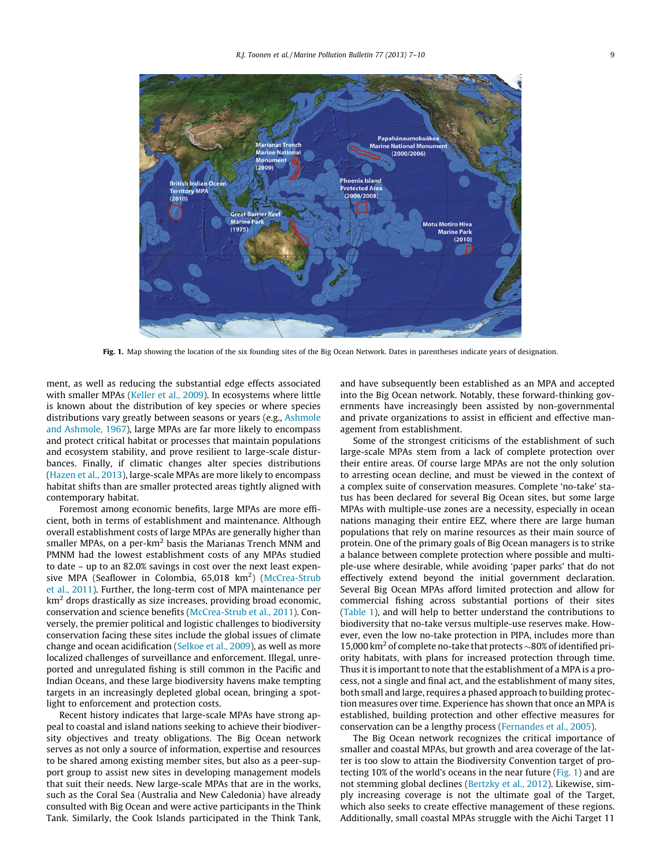<span id="page-2-0"></span>

Fig. 1. Map showing the location of the six founding sites of the Big Ocean Network. Dates in parentheses indicate years of designation.

ment, as well as reducing the substantial edge effects associated with smaller MPAs ([Keller et al., 2009](#page-3-0)). In ecosystems where little is known about the distribution of key species or where species distributions vary greatly between seasons or years (e.g., [Ashmole](#page-3-0) [and Ashmole, 1967\)](#page-3-0), large MPAs are far more likely to encompass and protect critical habitat or processes that maintain populations and ecosystem stability, and prove resilient to large-scale disturbances. Finally, if climatic changes alter species distributions ([Hazen et al., 2013\)](#page-3-0), large-scale MPAs are more likely to encompass habitat shifts than are smaller protected areas tightly aligned with contemporary habitat.

Foremost among economic benefits, large MPAs are more efficient, both in terms of establishment and maintenance. Although overall establishment costs of large MPAs are generally higher than smaller MPAs, on a per- $km^2$  basis the Marianas Trench MNM and PMNM had the lowest establishment costs of any MPAs studied to date – up to an 82.0% savings in cost over the next least expen-sive MPA (Seaflower in Colombia, 65,018 km<sup>2</sup>) ([McCrea-Strub](#page-3-0) [et al., 2011\)](#page-3-0). Further, the long-term cost of MPA maintenance per  $km<sup>2</sup>$  drops drastically as size increases, providing broad economic, conservation and science benefits ([McCrea-Strub et al., 2011\)](#page-3-0). Conversely, the premier political and logistic challenges to biodiversity conservation facing these sites include the global issues of climate change and ocean acidification [\(Selkoe et al., 2009](#page-3-0)), as well as more localized challenges of surveillance and enforcement. Illegal, unreported and unregulated fishing is still common in the Pacific and Indian Oceans, and these large biodiversity havens make tempting targets in an increasingly depleted global ocean, bringing a spotlight to enforcement and protection costs.

Recent history indicates that large-scale MPAs have strong appeal to coastal and island nations seeking to achieve their biodiversity objectives and treaty obligations. The Big Ocean network serves as not only a source of information, expertise and resources to be shared among existing member sites, but also as a peer-support group to assist new sites in developing management models that suit their needs. New large-scale MPAs that are in the works, such as the Coral Sea (Australia and New Caledonia) have already consulted with Big Ocean and were active participants in the Think Tank. Similarly, the Cook Islands participated in the Think Tank, and have subsequently been established as an MPA and accepted into the Big Ocean network. Notably, these forward-thinking governments have increasingly been assisted by non-governmental and private organizations to assist in efficient and effective management from establishment.

Some of the strongest criticisms of the establishment of such large-scale MPAs stem from a lack of complete protection over their entire areas. Of course large MPAs are not the only solution to arresting ocean decline, and must be viewed in the context of a complex suite of conservation measures. Complete 'no-take' status has been declared for several Big Ocean sites, but some large MPAs with multiple-use zones are a necessity, especially in ocean nations managing their entire EEZ, where there are large human populations that rely on marine resources as their main source of protein. One of the primary goals of Big Ocean managers is to strike a balance between complete protection where possible and multiple-use where desirable, while avoiding 'paper parks' that do not effectively extend beyond the initial government declaration. Several Big Ocean MPAs afford limited protection and allow for commercial fishing across substantial portions of their sites ([Table 1\)](#page-1-0), and will help to better understand the contributions to biodiversity that no-take versus multiple-use reserves make. However, even the low no-take protection in PIPA, includes more than 15,000 km<sup>2</sup> of complete no-take that protects  $\sim$ 80% of identified priority habitats, with plans for increased protection through time. Thus it is important to note that the establishment of a MPA is a process, not a single and final act, and the establishment of many sites, both small and large, requires a phased approach to building protection measures over time. Experience has shown that once an MPA is established, building protection and other effective measures for conservation can be a lengthy process [\(Fernandes et al., 2005\)](#page-3-0).

The Big Ocean network recognizes the critical importance of smaller and coastal MPAs, but growth and area coverage of the latter is too slow to attain the Biodiversity Convention target of protecting 10% of the world's oceans in the near future (Fig. 1) and are not stemming global declines ([Bertzky et al., 2012](#page-3-0)). Likewise, simply increasing coverage is not the ultimate goal of the Target, which also seeks to create effective management of these regions. Additionally, small coastal MPAs struggle with the Aichi Target 11